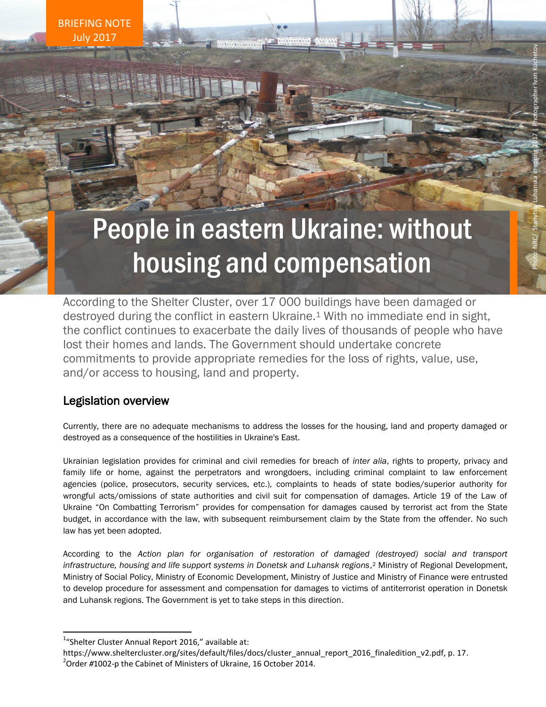BRIEFING NOTE July 2017

# People in eastern Ukraine: without housing and compensation

According to the Shelter Cluster, over 17 000 buildings have been damaged or destroyed during the conflict in eastern Ukraine. <sup>1</sup> With no immediate end in sight, the conflict continues to exacerbate the daily lives of thousands of people who have lost their homes and lands. The Government should undertake concrete commitments to provide appropriate remedies for the loss of rights, value, use, and/or access to housing, land and property.

# Legislation overview

Currently, there are no adequate mechanisms to address the losses for the housing, land and property damaged or destroyed as a consequence of the hostilities in Ukraine's East.

Ukrainian legislation provides for criminal and civil remedies for breach of *inter alia*, rights to property, privacy and family life or home, against the perpetrators and wrongdoers, including criminal complaint to law enforcement agencies (police, prosecutors, security services, etc.), complaints to heads of state bodies/superior authority for wrongful acts/omissions of state authorities and civil suit for compensation of damages. Article 19 of the Law of Ukraine "On Combatting Terrorism" provides for compensation for damages caused by terrorist act from the State budget, in accordance with the law, with subsequent reimbursement claim by the State from the offender. No such law has yet been adopted.

According to the *Action plan for organisation of restoration of damaged (destroyed) social and transport*  infrastructure, housing and life support systems in Donetsk and Luhansk regions,<sup>2</sup> Ministry of Regional Development, Ministry of Social Policy, Ministry of Economic Development, Ministry of Justice and Ministry of Finance were entrusted to develop procedure for assessment and compensation for damages to victims of antiterrorist operation in Donetsk and Luhansk regions. The Government is yet to take steps in this direction.

 $\overline{a}$ 

<sup>&</sup>lt;sup>1</sup>"Shelter Cluster Annual Report 2016," available at:

https://www.sheltercluster.org/sites/default/files/docs/cluster\_annual\_report\_2016\_finaledition\_v2.pdf, p. 17. 2 Order *#*1002-p the Cabinet of Ministers of Ukraine, 16 October 2014.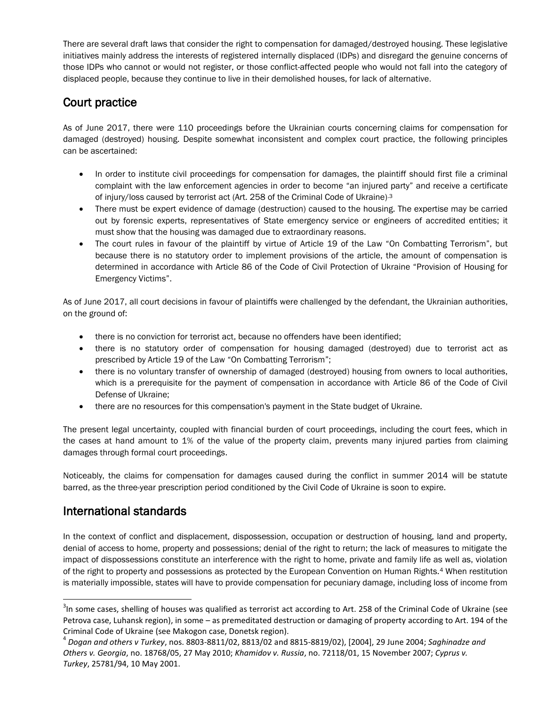There are several draft laws that consider the right to compensation for damaged/destroyed housing. These legislative initiatives mainly address the interests of registered internally displaced (IDPs) and disregard the genuine concerns of those IDPs who cannot or would not register, or those conflict-affected people who would not fall into the category of displaced people, because they continue to live in their demolished houses, for lack of alternative.

### Court practice

As of June 2017, there were 110 proceedings before the Ukrainian courts concerning claims for compensation for damaged (destroyed) housing. Despite somewhat inconsistent and complex court practice, the following principles can be ascertained:

- In order to institute civil proceedings for compensation for damages, the plaintiff should first file a criminal complaint with the law enforcement agencies in order to become "an injured party" and receive a certificate of injury/loss caused by terrorist act (Art. 258 of the Criminal Code of Ukraine).3
- There must be expert evidence of damage (destruction) caused to the housing. The expertise may be carried out by forensic experts, representatives of State emergency service or engineers of accredited entities; it must show that the housing was damaged due to extraordinary reasons.
- The court rules in favour of the plaintiff by virtue of Article 19 of the Law "On Combatting Terrorism", but because there is no statutory order to implement provisions of the article, the amount of compensation is determined in accordance with Article 86 of the Code of Civil Protection of Ukraine "Provision of Housing for Emergency Victims".

As of June 2017, all court decisions in favour of plaintiffs were challenged by the defendant, the Ukrainian authorities, on the ground of:

- there is no conviction for terrorist act, because no offenders have been identified;
- there is no statutory order of compensation for housing damaged (destroyed) due to terrorist act as prescribed by Article 19 of the Law "On Combatting Terrorism";
- there is no voluntary transfer of ownership of damaged (destroyed) housing from owners to local authorities, which is a prerequisite for the payment of compensation in accordance with Article 86 of the Code of Civil Defense of Ukraine;
- there are no resources for this compensation's payment in the State budget of Ukraine.

The present legal uncertainty, coupled with financial burden of court proceedings, including the court fees, which in the cases at hand amount to 1% of the value of the property claim, prevents many injured parties from claiming damages through formal court proceedings.

Noticeably, the claims for compensation for damages caused during the conflict in summer 2014 will be statute barred, as the three-year prescription period conditioned by the Civil Code of Ukraine is soon to expire.

# International standards

 $\overline{a}$ 

In the context of conflict and displacement, dispossession, occupation or destruction of housing, land and property, denial of access to home, property and possessions; denial of the right to return; the lack of measures to mitigate the impact of dispossessions constitute an interference with the right to home, private and family life as well as, violation of the right to property and possessions as protected by the European Convention on Human Rights.<sup>4</sup> When restitution is materially impossible, states will have to provide compensation for pecuniary damage, including loss of income from

 $3$ In some cases, shelling of houses was qualified as terrorist act according to Art. 258 of the Criminal Code of Ukraine (see Petrova case, Luhansk region), in some – as [premeditated destruction or damaging of property](http://www.multitran.ru/c/m.exe?t=2568776_1_2&s1=%F3%EC%FB%F8%EB%E5%ED%ED%EE%E5%20%E8%F1%F2%F0%E5%E1%EB%E5%ED%E8%E5%20%E8%EB%E8%20%EF%EE%E2%F0%E5%E6%E4%E5%ED%E8%E5%20%E8%EC%F3%F9%E5%F1%F2%E2%E0) according to Art. 194 of the Criminal Code of Ukraine (see Makogon case, Donetsk region).

<sup>4</sup> *Dogan and others v Turkey*, nos. 8803-8811/02, 8813/02 and 8815-8819/02), [2004], 29 June 2004; *Saghinadze and Others v. Georgia*, no. 18768/05, 27 May 2010; *Khamidov v. Russia*, no. 72118/01, 15 November 2007; *Cyprus v. Turkey*, 25781/94, 10 May 2001.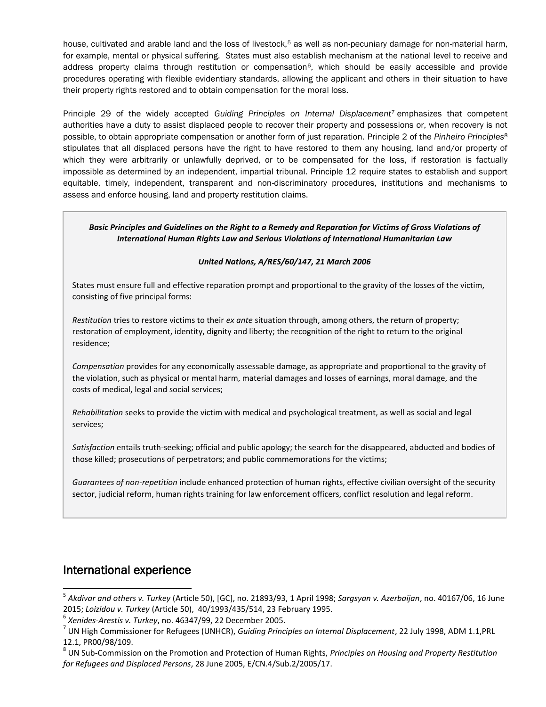house, cultivated and arable land and the loss of livestock,<sup>5</sup> as well as non-pecuniary damage for non-material harm, for example, mental or physical suffering. States must also establish mechanism at the national level to receive and address property claims through restitution or compensation<sup>6</sup>, which should be easily accessible and provide procedures operating with flexible evidentiary standards, allowing the applicant and others in their situation to have their property rights restored and to obtain compensation for the moral loss.

Principle 29 of the widely accepted *Guiding Principles on Internal Displacement*<sup>7</sup> emphasizes that competent authorities have a duty to assist displaced people to recover their property and possessions or, when recovery is not possible, to obtain appropriate compensation or another form of just reparation. Principle 2 of the *Pinheiro Principles*<sup>8</sup> stipulates that all displaced persons have the right to have restored to them any housing, land and/or property of which they were arbitrarily or unlawfully deprived, or to be compensated for the loss, if restoration is factually impossible as determined by an independent, impartial tribunal. Principle 12 require states to establish and support equitable, timely, independent, transparent and non-discriminatory procedures, institutions and mechanisms to assess and enforce housing, land and property restitution claims.

*Basic Principles and Guidelines on the Right to a Remedy and Reparation for Victims of Gross Violations of International Human Rights Law and Serious Violations of International Humanitarian Law*

#### *United Nations, A/RES/60/147, 21 March 2006*

States must ensure full and effective reparation prompt and proportional to the gravity of the losses of the victim, consisting of five principal forms:

*Restitution* tries to restore victims to their *ex ante* situation through, among others, the return of property; restoration of employment, identity, dignity and liberty; the recognition of the right to return to the original residence;

*Compensation* provides for any economically assessable damage, as appropriate and proportional to the gravity of the violation, such as physical or mental harm, material damages and losses of earnings, moral damage, and the costs of medical, legal and social services;

*Rehabilitation* seeks to provide the victim with medical and psychological treatment, as well as social and legal services;

*Satisfaction* entails truth-seeking; official and public apology; the search for the disappeared, abducted and bodies of those killed; prosecutions of perpetrators; and public commemorations for the victims;

*Guarantees of non-repetition* include enhanced protection of human rights, effective civilian oversight of the security sector, judicial reform, human rights training for law enforcement officers, conflict resolution and legal reform.

#### International experience

 $\overline{a}$ 

<sup>5</sup> *Akdivar and others v. Turkey* (Article 50), [GC], no. 21893/93, 1 April 1998; *Sargsyan v. Azerbaijan*, no. 40167/06, 16 June 2015; *Loizidou v. Turkey* (Article 50), 40/1993/435/514, 23 February 1995.

<sup>6</sup> *Xenides-Arestis v. Turkey*, no. 46347/99, 22 December 2005.

<sup>7</sup> UN High Commissioner for Refugees (UNHCR), *Guiding Principles on Internal Displacement*, 22 July 1998, ADM 1.1,PRL 12.1, PR00/98/109.

<sup>8</sup> UN Sub-Commission on the Promotion and Protection of Human Rights, *Principles on Housing and Property Restitution for Refugees and Displaced Persons*, 28 June 2005, E/CN.4/Sub.2/2005/17.